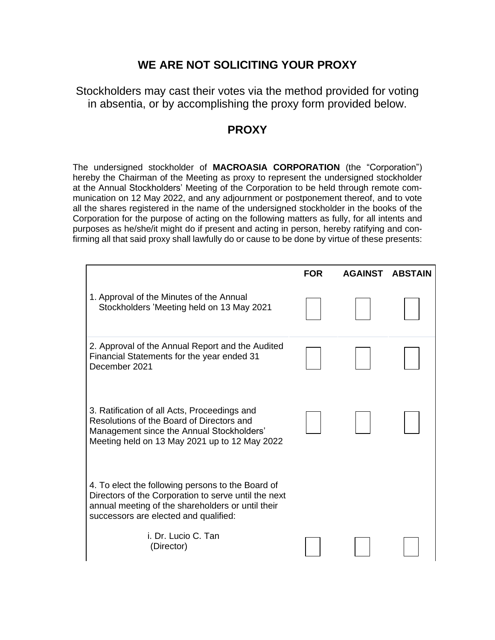## **WE ARE NOT SOLICITING YOUR PROXY**

Stockholders may cast their votes via the method provided for voting in absentia, or by accomplishing the proxy form provided below.

## **PROXY**

The undersigned stockholder of **MACROASIA CORPORATION** (the "Corporation") hereby the Chairman of the Meeting as proxy to represent the undersigned stockholder at the Annual Stockholders' Meeting of the Corporation to be held through remote communication on 12 May 2022, and any adjournment or postponement thereof, and to vote all the shares registered in the name of the undersigned stockholder in the books of the Corporation for the purpose of acting on the following matters as fully, for all intents and purposes as he/she/it might do if present and acting in person, hereby ratifying and confirming all that said proxy shall lawfully do or cause to be done by virtue of these presents:

|                                                                                                                                                                                                         | <b>FOR</b> | <b>AGAINST</b> | <b>ABSTAIN</b> |
|---------------------------------------------------------------------------------------------------------------------------------------------------------------------------------------------------------|------------|----------------|----------------|
| 1. Approval of the Minutes of the Annual<br>Stockholders 'Meeting held on 13 May 2021                                                                                                                   |            |                |                |
| 2. Approval of the Annual Report and the Audited<br>Financial Statements for the year ended 31<br>December 2021                                                                                         |            |                |                |
| 3. Ratification of all Acts, Proceedings and<br>Resolutions of the Board of Directors and<br>Management since the Annual Stockholders'<br>Meeting held on 13 May 2021 up to 12 May 2022                 |            |                |                |
| 4. To elect the following persons to the Board of<br>Directors of the Corporation to serve until the next<br>annual meeting of the shareholders or until their<br>successors are elected and qualified: |            |                |                |
| i. Dr. Lucio C. Tan<br>(Director)                                                                                                                                                                       |            |                |                |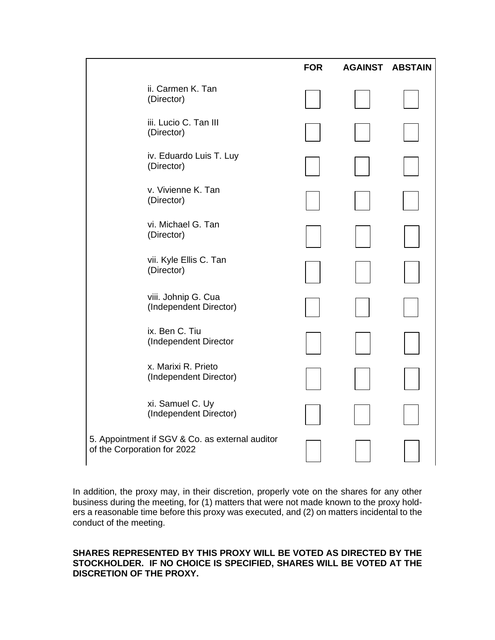|                                                                                | <b>FOR</b> | <b>AGAINST</b> | <b>ABSTAIN</b> |
|--------------------------------------------------------------------------------|------------|----------------|----------------|
| ii. Carmen K. Tan<br>(Director)                                                |            |                |                |
| iii. Lucio C. Tan III<br>(Director)                                            |            |                |                |
| iv. Eduardo Luis T. Luy<br>(Director)                                          |            |                |                |
| v. Vivienne K. Tan<br>(Director)                                               |            |                |                |
| vi. Michael G. Tan<br>(Director)                                               |            |                |                |
| vii. Kyle Ellis C. Tan<br>(Director)                                           |            |                |                |
| viii. Johnip G. Cua<br>(Independent Director)                                  |            |                |                |
| ix. Ben C. Tiu<br>(Independent Director                                        |            |                |                |
| x. Marixi R. Prieto<br>(Independent Director)                                  |            |                |                |
| xi. Samuel C. Uy<br>(Independent Director)                                     |            |                |                |
| 5. Appointment if SGV & Co. as external auditor<br>of the Corporation for 2022 |            |                |                |

In addition, the proxy may, in their discretion, properly vote on the shares for any other business during the meeting, for (1) matters that were not made known to the proxy holders a reasonable time before this proxy was executed, and (2) on matters incidental to the conduct of the meeting.

## **SHARES REPRESENTED BY THIS PROXY WILL BE VOTED AS DIRECTED BY THE STOCKHOLDER. IF NO CHOICE IS SPECIFIED, SHARES WILL BE VOTED AT THE DISCRETION OF THE PROXY.**